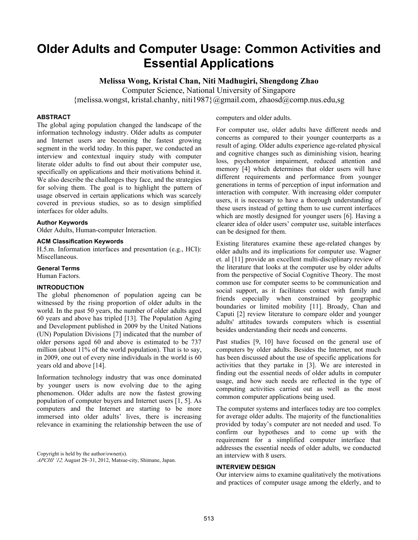# **Older Adults and Computer Usage: Common Activities and Essential Applications**

**Melissa Wong, Kristal Chan, Niti Madhugiri, Shengdong Zhao** 

Computer Science, National University of Singapore

{melissa.wongst, kristal.chanhy, niti1987}@gmail.com, zhaosd@comp.nus.edu,sg

# **ABSTRACT**

The global aging population changed the landscape of the information technology industry. Older adults as computer and Internet users are becoming the fastest growing segment in the world today. In this paper, we conducted an interview and contextual inquiry study with computer literate older adults to find out about their computer use, specifically on applications and their motivations behind it. We also describe the challenges they face, and the strategies for solving them. The goal is to highlight the pattern of usage observed in certain applications which was scarcely covered in previous studies, so as to design simplified interfaces for older adults.

# **Author Keywords**

Older Adults, Human-computer Interaction.

# **ACM Classification Keywords**

H.5.m. Information interfaces and presentation (e.g., HCI): Miscellaneous.

## **General Terms**

Human Factors.

# **INTRODUCTION**

The global phenomenon of population ageing can be witnessed by the rising proportion of older adults in the world. In the past 50 years, the number of older adults aged 60 years and above has tripled [13]. The Population Aging and Development published in 2009 by the United Nations (UN) Population Divisions [7] indicated that the number of older persons aged 60 and above is estimated to be 737 million (about 11% of the world population). That is to say, in 2009, one out of every nine individuals in the world is 60 years old and above [14].

Information technology industry that was once dominated by younger users is now evolving due to the aging phenomenon. Older adults are now the fastest growing population of computer buyers and Internet users [1, 5]. As computers and the Internet are starting to be more immersed into older adults' lives, there is increasing relevance in examining the relationship between the use of

Copyright is held by the author/owner(s). *APCHI '12,* August 28–31, 2012, Matsue-city, Shimane, Japan. computers and older adults.

For computer use, older adults have different needs and concerns as compared to their younger counterparts as a result of aging. Older adults experience age-related physical and cognitive changes such as diminishing vision, hearing loss, psychomotor impairment, reduced attention and memory [4] which determines that older users will have different requirements and performance from younger generations in terms of perception of input information and interaction with computer. With increasing older computer users, it is necessary to have a thorough understanding of these users instead of getting them to use current interfaces which are mostly designed for younger users [6]. Having a clearer idea of older users' computer use, suitable interfaces can be designed for them.

Existing literatures examine these age-related changes by older adults and its implications for computer use. Wagner et. al [11] provide an excellent multi-disciplinary review of the literature that looks at the computer use by older adults from the perspective of Social Cognitive Theory. The most common use for computer seems to be communication and social support, as it facilitates contact with family and friends especially when constrained by geographic boundaries or limited mobility [11]. Broady, Chan and Caputi [2] review literature to compare older and younger adults' attitudes towards computers which is essential besides understanding their needs and concerns.

Past studies [9, 10] have focused on the general use of computers by older adults. Besides the Internet, not much has been discussed about the use of specific applications for activities that they partake in [3]. We are interested in finding out the essential needs of older adults in computer usage, and how such needs are reflected in the type of computing activities carried out as well as the most common computer applications being used.

The computer systems and interfaces today are too complex for average older adults. The majority of the functionalities provided by today's computer are not needed and used. To confirm our hypotheses and to come up with the requirement for a simplified computer interface that addresses the essential needs of older adults, we conducted an interview with 8 users.

#### **INTERVIEW DESIGN**

Our interview aims to examine qualitatively the motivations and practices of computer usage among the elderly, and to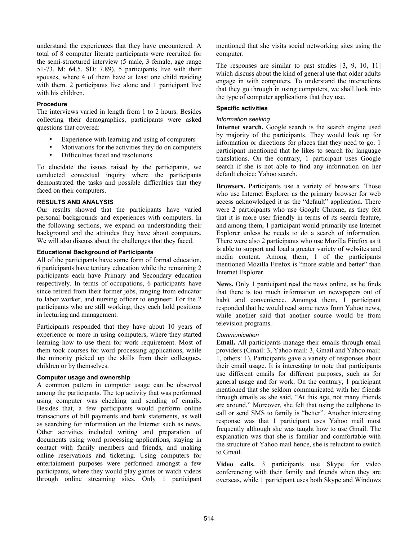understand the experiences that they have encountered. A total of 8 computer literate participants were recruited for the semi-structured interview (5 male, 3 female, age range 51-73, M: 64.5, SD: 7.89). 5 participants live with their spouses, where 4 of them have at least one child residing with them. 2 participants live alone and 1 participant live with his children.

## **Procedure**

The interviews varied in length from 1 to 2 hours. Besides collecting their demographics, participants were asked questions that covered:

- Experience with learning and using of computers
- Motivations for the activities they do on computers
- Difficulties faced and resolutions

To elucidate the issues raised by the participants, we conducted contextual inquiry where the participants demonstrated the tasks and possible difficulties that they faced on their computers.

# **RESULTS AND ANALYSIS**

Our results showed that the participants have varied personal backgrounds and experiences with computers. In the following sections, we expand on understanding their background and the attitudes they have about computers. We will also discuss about the challenges that they faced.

# **Educational Background of Participants**

All of the participants have some form of formal education. 6 participants have tertiary education while the remaining 2 participants each have Primary and Secondary education respectively. In terms of occupations, 6 participants have since retired from their former jobs, ranging from educator to labor worker, and nursing officer to engineer. For the 2 participants who are still working, they each hold positions in lecturing and management.

Participants responded that they have about 10 years of experience or more in using computers, where they started learning how to use them for work requirement. Most of them took courses for word processing applications, while the minority picked up the skills from their colleagues, children or by themselves.

# **Computer usage and ownership**

A common pattern in computer usage can be observed among the participants. The top activity that was performed using computer was checking and sending of emails. Besides that, a few participants would perform online transactions of bill payments and bank statements, as well as searching for information on the Internet such as news. Other activities included writing and preparation of documents using word processing applications, staying in contact with family members and friends, and making online reservations and ticketing. Using computers for entertainment purposes were performed amongst a few participants, where they would play games or watch videos through online streaming sites. Only 1 participant mentioned that she visits social networking sites using the computer.

The responses are similar to past studies [3, 9, 10, 11] which discuss about the kind of general use that older adults engage in with computers. To understand the interactions that they go through in using computers, we shall look into the type of computer applications that they use.

# **Specific activities**

## *Information seeking*

**Internet search.** Google search is the search engine used by majority of the participants. They would look up for information or directions for places that they need to go. 1 participant mentioned that he likes to search for language translations. On the contrary, 1 participant uses Google search if she is not able to find any information on her default choice: Yahoo search.

**Browsers.** Participants use a variety of browsers. Those who use Internet Explorer as the primary browser for web access acknowledged it as the "default" application. There were 2 participants who use Google Chrome, as they felt that it is more user friendly in terms of its search feature, and among them, 1 participant would primarily use Internet Explorer unless he needs to do a search of information. There were also 2 participants who use Mozilla Firefox as it is able to support and load a greater variety of websites and media content. Among them, 1 of the participants mentioned Mozilla Firefox is "more stable and better" than Internet Explorer.

**News.** Only 1 participant read the news online, as he finds that there is too much information on newspapers out of habit and convenience. Amongst them, 1 participant responded that he would read some news from Yahoo news, while another said that another source would be from television programs.

#### *Communication*

**Email.** All participants manage their emails through email providers (Gmail: 3, Yahoo mail: 3, Gmail and Yahoo mail: 1, others: 1). Participants gave a variety of responses about their email usage. It is interesting to note that participants use different emails for different purposes, such as for general usage and for work. On the contrary, 1 participant mentioned that she seldom communicated with her friends through emails as she said, "At this age, not many friends are around." Moreover, she felt that using the cellphone to call or send SMS to family is "better". Another interesting response was that 1 participant uses Yahoo mail most frequently although she was taught how to use Gmail. The explanation was that she is familiar and comfortable with the structure of Yahoo mail hence, she is reluctant to switch to Gmail.

**Video calls.** 3 participants use Skype for video conferencing with their family and friends when they are overseas, while 1 participant uses both Skype and Windows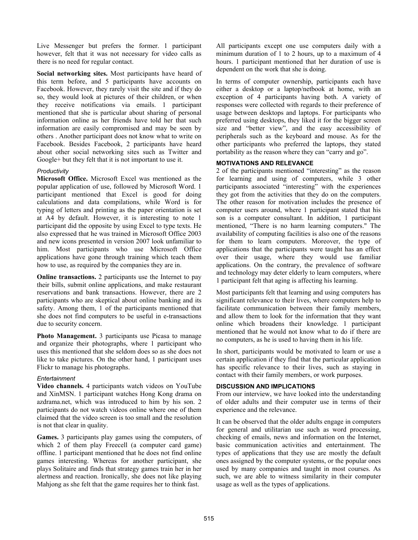Live Messenger but prefers the former. 1 participant however, felt that it was not necessary for video calls as there is no need for regular contact.

**Social networking sites.** Most participants have heard of this term before, and 5 participants have accounts on Facebook. However, they rarely visit the site and if they do so, they would look at pictures of their children, or when they receive notifications via emails. 1 participant mentioned that she is particular about sharing of personal information online as her friends have told her that such information are easily compromised and may be seen by others . Another participant does not know what to write on Facebook. Besides Facebook, 2 participants have heard about other social networking sites such as Twitter and Google+ but they felt that it is not important to use it.

# *Productivity*

**Microsoft Office.** Microsoft Excel was mentioned as the popular application of use, followed by Microsoft Word. 1 participant mentioned that Excel is good for doing calculations and data compilations, while Word is for typing of letters and printing as the paper orientation is set at A4 by default. However, it is interesting to note 1 participant did the opposite by using Excel to type texts. He also expressed that he was trained in Microsoft Office 2003 and new icons presented in version 2007 look unfamiliar to him. Most participants who use Microsoft Office applications have gone through training which teach them how to use, as required by the companies they are in.

**Online transactions.** 2 participants use the Internet to pay their bills, submit online applications, and make restaurant reservations and bank transactions. However, there are 2 participants who are skeptical about online banking and its safety. Among them, 1 of the participants mentioned that she does not find computers to be useful in e-transactions due to security concern.

**Photo Management.** 3 participants use Picasa to manage and organize their photographs, where 1 participant who uses this mentioned that she seldom does so as she does not like to take pictures. On the other hand, 1 participant uses Flickr to manage his photographs.

# *Entertainment*

**Video channels.** 4 participants watch videos on YouTube and XinMSN. 1 participant watches Hong Kong drama on azdrama.net, which was introduced to him by his son. 2 participants do not watch videos online where one of them claimed that the video screen is too small and the resolution is not that clear in quality.

**Games.** 3 participants play games using the computers, of which 2 of them play Freecell (a computer card game) offline. 1 participant mentioned that he does not find online games interesting. Whereas for another participant, she plays Solitaire and finds that strategy games train her in her alertness and reaction. Ironically, she does not like playing Mahjong as she felt that the game requires her to think fast.

All participants except one use computers daily with a minimum duration of 1 to 2 hours, up to a maximum of 4 hours. 1 participant mentioned that her duration of use is dependent on the work that she is doing.

In terms of computer ownership, participants each have either a desktop or a laptop/netbook at home, with an exception of 4 participants having both. A variety of responses were collected with regards to their preference of usage between desktops and laptops. For participants who preferred using desktops, they liked it for the bigger screen size and "better view", and the easy accessibility of peripherals such as the keyboard and mouse. As for the other participants who preferred the laptops, they stated portability as the reason where they can "carry and go".

# **MOTIVATIONS AND RELEVANCE**

2 of the participants mentioned "interesting" as the reason for learning and using of computers, while 3 other participants associated "interesting" with the experiences they got from the activities that they do on the computers. The other reason for motivation includes the presence of computer users around, where 1 participant stated that his son is a computer consultant. In addition, 1 participant mentioned, "There is no harm learning computers." The availability of computing facilities is also one of the reasons for them to learn computers. Moreover, the type of applications that the participants were taught has an effect over their usage, where they would use familiar applications. On the contrary, the prevalence of software and technology may deter elderly to learn computers, where 1 participant felt that aging is affecting his learning.

Most participants felt that learning and using computers has significant relevance to their lives, where computers help to facilitate communication between their family members, and allow them to look for the information that they want online which broadens their knowledge. 1 participant mentioned that he would not know what to do if there are no computers, as he is used to having them in his life.

In short, participants would be motivated to learn or use a certain application if they find that the particular application has specific relevance to their lives, such as staying in contact with their family members, or work purposes.

# **DISCUSSION AND IMPLICATIONS**

From our interview, we have looked into the understanding of older adults and their computer use in terms of their experience and the relevance.

It can be observed that the older adults engage in computers for general and utilitarian use such as word processing, checking of emails, news and information on the Internet, basic communication activities and entertainment. The types of applications that they use are mostly the default ones assigned by the computer systems, or the popular ones used by many companies and taught in most courses. As such, we are able to witness similarity in their computer usage as well as the types of applications.